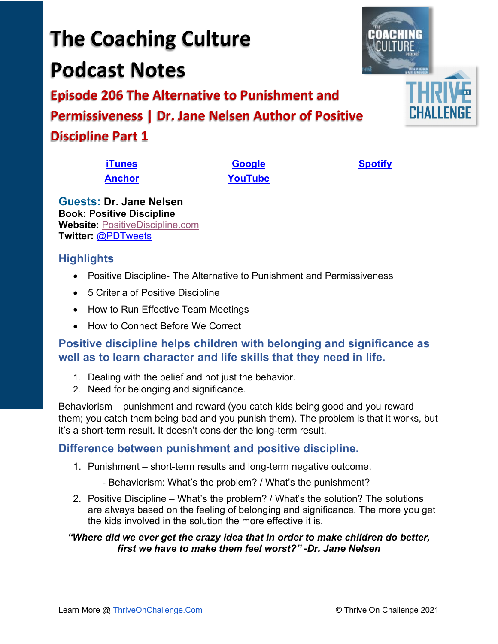# • 5 Criteria of Positive Discipline • How to Run Effective Team Meetings

• How to Connect Before We Correct

## **Positive discipline helps children with belonging and significance as well as to learn character and life skills that they need in life.**

• Positive Discipline- The Alternative to Punishment and Permissiveness

- 1. Dealing with the belief and not just the behavior.
- 2. Need for belonging and significance.

Behaviorism – punishment and reward (you catch kids being good and you reward them; you catch them being bad and you punish them). The problem is that it works, but it's a short-term result. It doesn't consider the long-term result.

## **Difference between punishment and positive discipline.**

- 1. Punishment short-term results and long-term negative outcome.
	- Behaviorism: What's the problem? / What's the punishment?
- 2. Positive Discipline What's the problem? / What's the solution? The solutions are always based on the feeling of belonging and significance. The more you get the kids involved in the solution the more effective it is.

### *"Where did we ever get the crazy idea that in order to make children do better, first we have to make them feel worst?" -Dr. Jane Nelsen*

**Podcast Notes Episode 206 The Alternative to Punishment and Permissiveness | Dr. Jane Nelsen Author of Positive** 

# **Discipline Part 1**

**Twitter:** [@PDTweets](https://twitter.com/PDTweets)

**Highlights**

**[iTunes](https://tinyurl.com/y68cvd4x) [Google](https://tinyurl.com/xhduf9bw) [Spotify](https://tinyurl.com/3sf9cp5h) [Anchor](https://tinyurl.com/4yhexz6d) [YouTube](https://www.youtube.com/channel/UC3vIljCBzwHcPyVIx9kiHvw)**

**The Coaching Culture**

**Guests: Dr. Jane Nelsen Book: Positive Discipline Website:** [PositiveDiscipline.com](http://www.positivediscipline.com/)

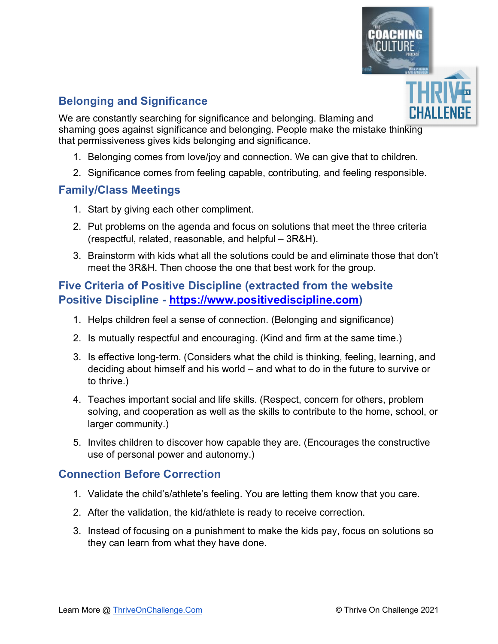

## **Belonging and Significance**

We are constantly searching for significance and belonging. Blaming and shaming goes against significance and belonging. People make the mistake thinking that permissiveness gives kids belonging and significance.

- 1. Belonging comes from love/joy and connection. We can give that to children.
- 2. Significance comes from feeling capable, contributing, and feeling responsible.

#### **Family/Class Meetings**

- 1. Start by giving each other compliment.
- 2. Put problems on the agenda and focus on solutions that meet the three criteria (respectful, related, reasonable, and helpful – 3R&H).
- 3. Brainstorm with kids what all the solutions could be and eliminate those that don't meet the 3R&H. Then choose the one that best work for the group.

### **Five Criteria of Positive Discipline (extracted from the website Positive Discipline - [https://www.positivediscipline.com\)](https://www.positivediscipline.com/)**

- 1. Helps children feel a sense of connection. (Belonging and significance)
- 2. Is mutually respectful and encouraging. (Kind and firm at the same time.)
- 3. Is effective long-term. (Considers what the child is thinking, feeling, learning, and deciding about himself and his world – and what to do in the future to survive or to thrive.)
- 4. Teaches important social and life skills. (Respect, concern for others, problem solving, and cooperation as well as the skills to contribute to the home, school, or larger community.)
- 5. Invites children to discover how capable they are. (Encourages the constructive use of personal power and autonomy.)

#### **Connection Before Correction**

- 1. Validate the child's/athlete's feeling. You are letting them know that you care.
- 2. After the validation, the kid/athlete is ready to receive correction.
- 3. Instead of focusing on a punishment to make the kids pay, focus on solutions so they can learn from what they have done.